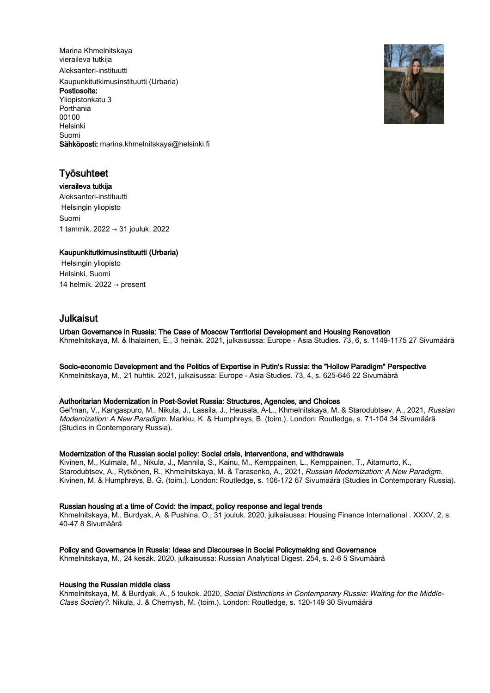Marina Khmelnitskaya vieraileva tutkija Aleksanteri-instituutti Kaupunkitutkimusinstituutti (Urbaria) Postiosoite: Yliopistonkatu 3 Porthania 00100 Helsinki Suomi Sähköposti: marina.khmelnitskaya@helsinki.fi



# Työsuhteet

vieraileva tutkija Aleksanteri-instituutti Helsingin yliopisto Suomi 1 tammik. 2022 → 31 jouluk. 2022

# Kaupunkitutkimusinstituutti (Urbaria)

 Helsingin yliopisto Helsinki, Suomi 14 helmik. 2022  $\rightarrow$  present

# Julkaisut

# Urban Governance in Russia: The Case of Moscow Territorial Development and Housing Renovation

Khmelnitskaya, M. & Ihalainen, E., 3 heinäk. 2021, julkaisussa: Europe - Asia Studies. 73, 6, s. 1149-1175 27 Sivumäärä

#### Socio-economic Development and the Politics of Expertise in Putin's Russia: the "Hollow Paradigm" Perspective

Khmelnitskaya, M., 21 huhtik. 2021, julkaisussa: Europe - Asia Studies. 73, 4, s. 625-646 22 Sivumäärä

#### Authoritarian Modernization in Post-Soviet Russia: Structures, Agencies, and Choices

Gel'man, V., Kangaspuro, M., Nikula, J., Lassila, J., Heusala, A-L., Khmelnitskaya, M. & Starodubtsev, A., 2021, Russian Modernization: A New Paradigm. Markku, K. & Humphreys, B. (toim.). London: Routledge, s. 71-104 34 Sivumäärä (Studies in Contemporary Russia).

#### Modernization of the Russian social policy: Social crisis, interventions, and withdrawals

Kivinen, M., Kulmala, M., Nikula, J., Mannila, S., Kainu, M., Kemppainen, L., Kemppainen, T., Aitamurto, K., Starodubtsev, A., Rytkönen, R., Khmelnitskaya, M. & Tarasenko, A., 2021, Russian Modernization: A New Paradigm. Kivinen, M. & Humphreys, B. G. (toim.). London: Routledge, s. 106-172 67 Sivumäärä (Studies in Contemporary Russia).

## Russian housing at a time of Covid: the impact, policy response and legal trends

Khmelnitskaya, M., Burdyak, A. & Pushina, O., 31 jouluk. 2020, julkaisussa: Housing Finance International . XXXV, 2, s. 40-47 8 Sivumäärä

#### Policy and Governance in Russia: Ideas and Discourses in Social Policymaking and Governance

Khmelnitskaya, M., 24 kesäk. 2020, julkaisussa: Russian Analytical Digest. 254, s. 2-6 5 Sivumäärä

#### Housing the Russian middle class

Khmelnitskaya, M. & Burdyak, A., 5 toukok. 2020, Social Distinctions in Contemporary Russia: Waiting for the Middle-Class Society?. Nikula, J. & Chernysh, M. (toim.). London: Routledge, s. 120-149 30 Sivumäärä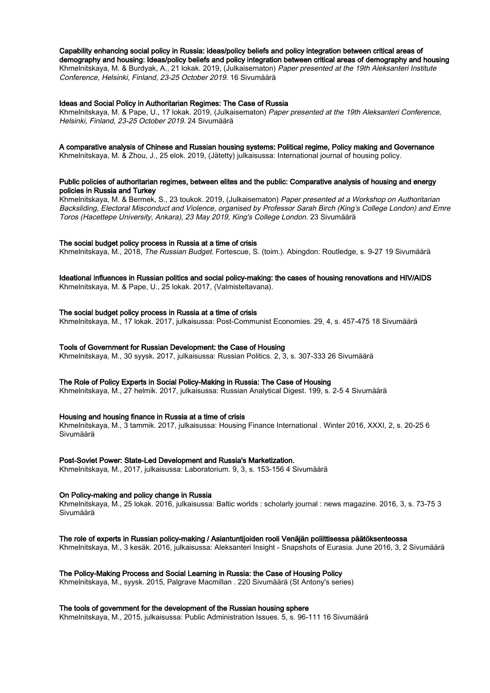#### Capability enhancing social policy in Russia: ideas/policy beliefs and policy integration between critical areas of

demography and housing: Ideas/policy beliefs and policy integration between critical areas of demography and housing Khmelnitskaya, M. & Burdyak, A., 21 lokak. 2019, (Julkaisematon) Paper presented at the 19th Aleksanteri Institute Conference, Helsinki, Finland, 23-25 October 2019. 16 Sivumäärä

#### Ideas and Social Policy in Authoritarian Regimes: The Case of Russia

Khmelnitskaya, M. & Pape, U., 17 lokak. 2019, (Julkaisematon) Paper presented at the 19th Aleksanteri Conference, Helsinki, Finland, 23-25 October 2019. 24 Sivumäärä

## A comparative analysis of Chinese and Russian housing systems: Political regime, Policy making and Governance

Khmelnitskaya, M. & Zhou, J., 25 elok. 2019, (Jätetty) julkaisussa: International journal of housing policy.

## Public policies of authoritarian regimes, between elites and the public: Comparative analysis of housing and energy policies in Russia and Turkey

Khmelnitskaya, M. & Bermek, S., 23 toukok. 2019, (Julkaisematon) Paper presented at a Workshop on Authoritarian Backsliding, Electoral Misconduct and Violence, organised by Professor Sarah Birch (King's College London) and Emre Toros (Hacettepe University, Ankara), 23 May 2019, King's College London. 23 Sivumäärä

#### The social budget policy process in Russia at a time of crisis

Khmelnitskaya, M., 2018, The Russian Budget. Fortescue, S. (toim.). Abingdon: Routledge, s. 9-27 19 Sivumäärä

## Ideational influences in Russian politics and social policy-making: the cases of housing renovations and HIV/AIDS

Khmelnitskaya, M. & Pape, U., 25 lokak. 2017, (Valmisteltavana).

## The social budget policy process in Russia at a time of crisis

Khmelnitskaya, M., 17 lokak. 2017, julkaisussa: Post-Communist Economies. 29, 4, s. 457-475 18 Sivumäärä

#### Tools of Government for Russian Development: the Case of Housing

Khmelnitskaya, M., 30 syysk. 2017, julkaisussa: Russian Politics. 2, 3, s. 307-333 26 Sivumäärä

#### The Role of Policy Experts in Social Policy-Making in Russia: The Case of Housing

Khmelnitskaya, M., 27 helmik. 2017, julkaisussa: Russian Analytical Digest. 199, s. 2-5 4 Sivumäärä

#### Housing and housing finance in Russia at a time of crisis

Khmelnitskaya, M., 3 tammik. 2017, julkaisussa: Housing Finance International . Winter 2016, XXXI, 2, s. 20-25 6 Sivumäärä

#### Post-Soviet Power: State-Led Development and Russia's Marketization.

Khmelnitskaya, M., 2017, julkaisussa: Laboratorium. 9, 3, s. 153-156 4 Sivumäärä

#### On Policy-making and policy change in Russia

Khmelnitskaya, M., 25 lokak. 2016, julkaisussa: Baltic worlds : scholarly journal : news magazine. 2016, 3, s. 73-75 3 Sivumäärä

The role of experts in Russian policy-making / Asiantuntijoiden rooli Venäjän poliittisessa päätöksenteossa

Khmelnitskaya, M., 3 kesäk. 2016, julkaisussa: Aleksanteri Insight - Snapshots of Eurasia. June 2016, 3, 2 Sivumäärä

## The Policy-Making Process and Social Learning in Russia: the Case of Housing Policy

Khmelnitskaya, M., syysk. 2015, Palgrave Macmillan . 220 Sivumäärä (St Antony's series)

#### The tools of government for the development of the Russian housing sphere

Khmelnitskaya, M., 2015, julkaisussa: Public Administration Issues. 5, s. 96-111 16 Sivumäärä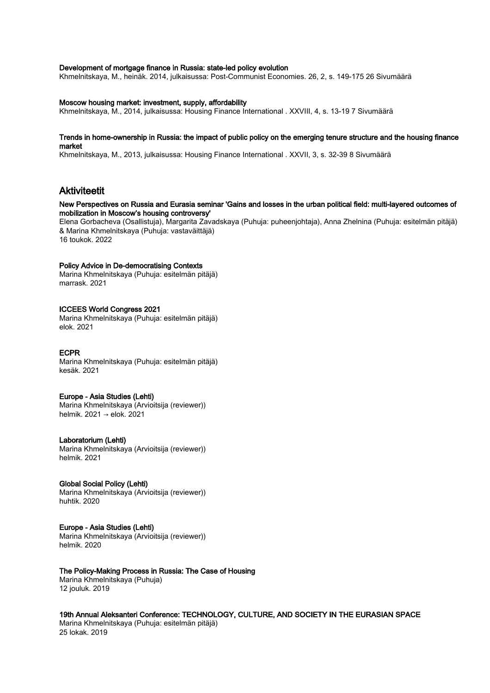#### Development of mortgage finance in Russia: state-led policy evolution

Khmelnitskaya, M., heinäk. 2014, julkaisussa: Post-Communist Economies. 26, 2, s. 149-175 26 Sivumäärä

#### Moscow housing market: investment, supply, affordability

Khmelnitskaya, M., 2014, julkaisussa: Housing Finance International . XXVIII, 4, s. 13-19 7 Sivumäärä

#### Trends in home-ownership in Russia: the impact of public policy on the emerging tenure structure and the housing finance market

Khmelnitskaya, M., 2013, julkaisussa: Housing Finance International . XXVII, 3, s. 32-39 8 Sivumäärä

# Aktiviteetit

## New Perspectives on Russia and Eurasia seminar 'Gains and losses in the urban political field: multi-layered outcomes of mobilization in Moscow's housing controversy'

Elena Gorbacheva (Osallistuja), Margarita Zavadskaya (Puhuja: puheenjohtaja), Anna Zhelnina (Puhuja: esitelmän pitäjä) & Marina Khmelnitskaya (Puhuja: vastaväittäjä) 16 toukok. 2022

#### Policy Advice in De-democratising Contexts

Marina Khmelnitskaya (Puhuja: esitelmän pitäjä) marrask. 2021

#### ICCEES World Congress 2021

Marina Khmelnitskaya (Puhuja: esitelmän pitäjä) elok. 2021

## ECPR

Marina Khmelnitskaya (Puhuja: esitelmän pitäjä) kesäk. 2021

#### Europe - Asia Studies (Lehti)

Marina Khmelnitskaya (Arvioitsija (reviewer)) helmik. 2021 → elok. 2021

#### Laboratorium (Lehti)

Marina Khmelnitskaya (Arvioitsija (reviewer)) helmik. 2021

#### Global Social Policy (Lehti)

Marina Khmelnitskaya (Arvioitsija (reviewer)) huhtik. 2020

### Europe - Asia Studies (Lehti)

Marina Khmelnitskaya (Arvioitsija (reviewer)) helmik. 2020

## The Policy-Making Process in Russia: The Case of Housing

Marina Khmelnitskaya (Puhuja) 12 jouluk. 2019

19th Annual Aleksanteri Conference: TECHNOLOGY, CULTURE, AND SOCIETY IN THE EURASIAN SPACE Marina Khmelnitskaya (Puhuja: esitelmän pitäjä) 25 lokak. 2019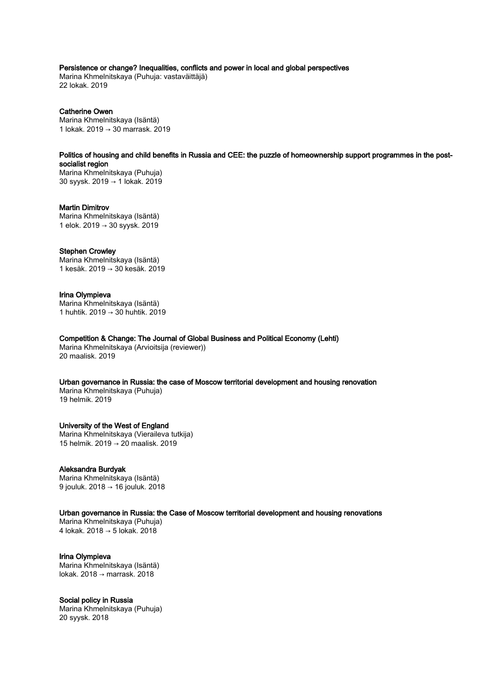## Persistence or change? Inequalities, conflicts and power in local and global perspectives

Marina Khmelnitskaya (Puhuja: vastaväittäjä) 22 lokak. 2019

## Catherine Owen

Marina Khmelnitskaya (Isäntä) 1 lokak. 2019 → 30 marrask. 2019

Politics of housing and child benefits in Russia and CEE: the puzzle of homeownership support programmes in the postsocialist region Marina Khmelnitskaya (Puhuja)

30 syysk. 2019 → 1 lokak. 2019

# Martin Dimitrov

Marina Khmelnitskaya (Isäntä) 1 elok. 2019 → 30 syysk. 2019

#### Stephen Crowley

Marina Khmelnitskaya (Isäntä) 1 kesäk. 2019 → 30 kesäk. 2019

## Irina Olympieva

Marina Khmelnitskaya (Isäntä) 1 huhtik. 2019 → 30 huhtik. 2019

Competition & Change: The Journal of Global Business and Political Economy (Lehti)

Marina Khmelnitskaya (Arvioitsija (reviewer)) 20 maalisk. 2019

# Urban governance in Russia: the case of Moscow territorial development and housing renovation

Marina Khmelnitskaya (Puhuja) 19 helmik. 2019

### University of the West of England

Marina Khmelnitskaya (Vieraileva tutkija) 15 helmik. 2019 → 20 maalisk. 2019

#### Aleksandra Burdyak

Marina Khmelnitskaya (Isäntä) 9 jouluk. 2018 → 16 jouluk. 2018

### Urban governance in Russia: the Case of Moscow territorial development and housing renovations

Marina Khmelnitskaya (Puhuja) 4 lokak. 2018 → 5 lokak. 2018

#### Irina Olympieva

Marina Khmelnitskaya (Isäntä) lokak. 2018 → marrask. 2018

#### Social policy in Russia

Marina Khmelnitskaya (Puhuja) 20 syysk. 2018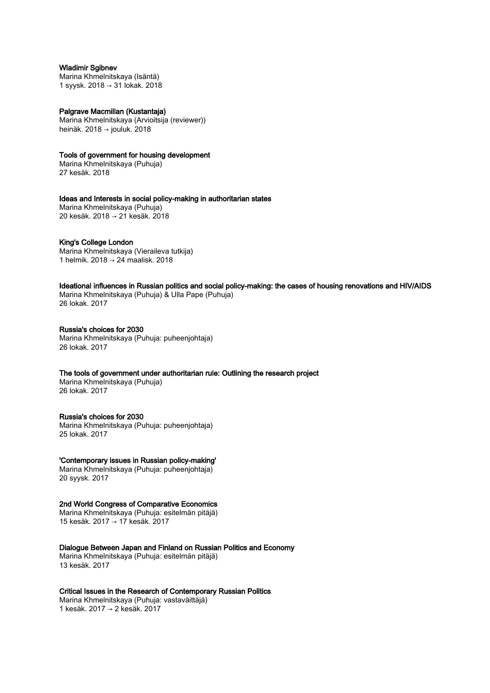## Wladimir Sgibnev

Marina Khmelnitskaya (Isäntä) 1 syysk. 2018 → 31 lokak. 2018

#### Palgrave Macmillan (Kustantaja)

Marina Khmelnitskaya (Arvioitsija (reviewer)) heinäk. 2018 → jouluk. 2018

## Tools of government for housing development

Marina Khmelnitskaya (Puhuja) 27 kesäk. 2018

Ideas and Interests in social policy-making in authoritarian states Marina Khmelnitskaya (Puhuja) 20 kesäk. 2018 → 21 kesäk. 2018

#### King's College London

Marina Khmelnitskaya (Vieraileva tutkija) 1 helmik. 2018 → 24 maalisk. 2018

Ideational influences in Russian politics and social policy-making: the cases of housing renovations and HIV/AIDS Marina Khmelnitskaya (Puhuja) & Ulla Pape (Puhuja)

26 lokak. 2017

#### Russia's choices for 2030 Marina Khmelnitskaya (Puhuja: puheenjohtaja) 26 lokak. 2017

# The tools of government under authoritarian rule: Outlining the research project

Marina Khmelnitskaya (Puhuja) 26 lokak. 2017

## Russia's choices for 2030

Marina Khmelnitskaya (Puhuja: puheenjohtaja) 25 lokak. 2017

#### 'Contemporary issues in Russian policy-making'

Marina Khmelnitskaya (Puhuja: puheenjohtaja) 20 syysk. 2017

#### 2nd World Congress of Comparative Economics

Marina Khmelnitskaya (Puhuja: esitelmän pitäjä) 15 kesäk. 2017 → 17 kesäk. 2017

#### Dialogue Between Japan and Finland on Russian Politics and Economy

Marina Khmelnitskaya (Puhuja: esitelmän pitäjä) 13 kesäk. 2017

# Critical Issues in the Research of Contemporary Russian Politics

Marina Khmelnitskaya (Puhuja: vastaväittäjä) 1 kesäk. 2017 → 2 kesäk. 2017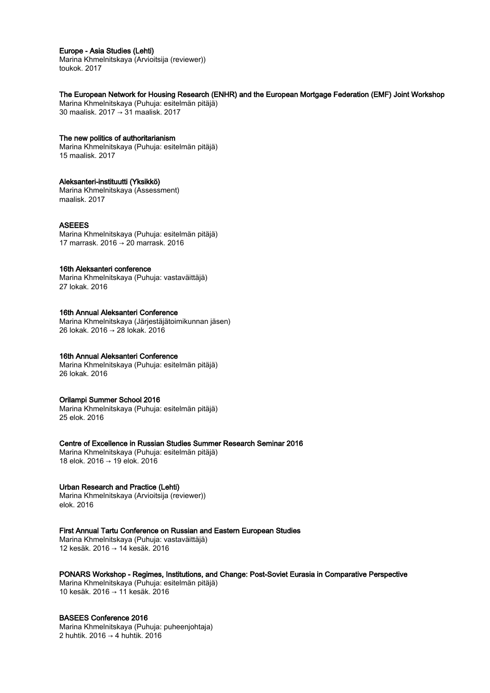## Europe - Asia Studies (Lehti)

Marina Khmelnitskaya (Arvioitsija (reviewer)) toukok. 2017

## The European Network for Housing Research (ENHR) and the European Mortgage Federation (EMF) Joint Workshop

Marina Khmelnitskaya (Puhuja: esitelmän pitäjä) 30 maalisk. 2017 → 31 maalisk. 2017

## The new politics of authoritarianism

Marina Khmelnitskaya (Puhuja: esitelmän pitäjä) 15 maalisk. 2017

## Aleksanteri-instituutti (Yksikkö)

Marina Khmelnitskaya (Assessment) maalisk. 2017

# ASEEES

Marina Khmelnitskaya (Puhuja: esitelmän pitäjä) 17 marrask. 2016 → 20 marrask. 2016

## 16th Aleksanteri conference

Marina Khmelnitskaya (Puhuja: vastaväittäjä) 27 lokak. 2016

# 16th Annual Aleksanteri Conference

Marina Khmelnitskaya (Järjestäjätoimikunnan jäsen) 26 lokak. 2016 → 28 lokak. 2016

# 16th Annual Aleksanteri Conference

Marina Khmelnitskaya (Puhuja: esitelmän pitäjä) 26 lokak. 2016

# Orilampi Summer School 2016

Marina Khmelnitskaya (Puhuja: esitelmän pitäjä) 25 elok. 2016

# Centre of Excellence in Russian Studies Summer Research Seminar 2016

Marina Khmelnitskaya (Puhuja: esitelmän pitäjä) 18 elok. 2016 → 19 elok. 2016

# Urban Research and Practice (Lehti)

Marina Khmelnitskaya (Arvioitsija (reviewer)) elok. 2016

# First Annual Tartu Conference on Russian and Eastern European Studies

Marina Khmelnitskaya (Puhuja: vastaväittäjä) 12 kesäk. 2016 → 14 kesäk. 2016

# PONARS Workshop - Regimes, Institutions, and Change: Post-Soviet Eurasia in Comparative Perspective

Marina Khmelnitskaya (Puhuja: esitelmän pitäjä) 10 kesäk. 2016 → 11 kesäk. 2016

# BASEES Conference 2016

Marina Khmelnitskaya (Puhuja: puheenjohtaja) 2 huhtik. 2016 → 4 huhtik. 2016